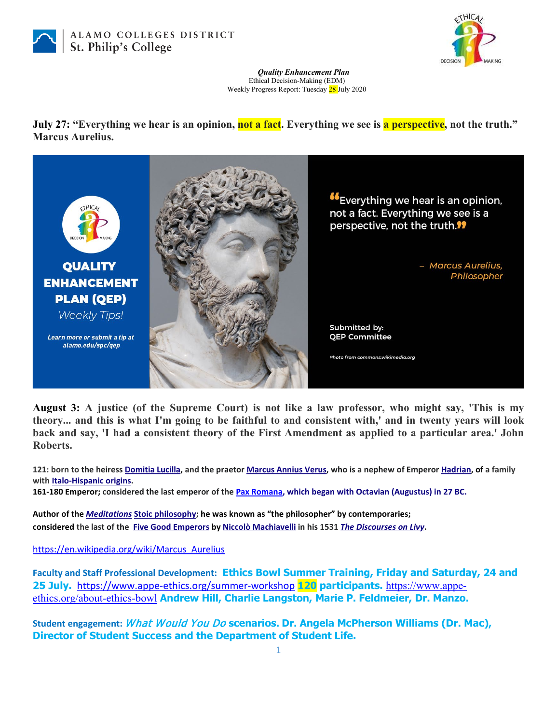



## *Quality Enhancement Plan* Ethical Decision-Making (EDM) Weekly Progress Report: Tuesday 28 July 2020

**July 27: "Everything we hear is an opinion, not a fact.** Everything we see is a perspective, not the truth." **Marcus Aurelius.**



**August 3: A justice (of the Supreme Court) is not like a law professor, who might say, 'This is my theory... and this is what I'm going to be faithful to and consistent with,' and in twenty years will look back and say, 'I had a consistent theory of the First Amendment as applied to a particular area.' John Roberts.**

**121: born to the heiress [Domitia Lucilla,](https://en.wikipedia.org/wiki/Domitia_Lucilla_Minor) and the praetor [Marcus Annius Verus,](https://en.wikipedia.org/wiki/Marcus_Annius_Verus_(III)) who is a nephew of Emperor [Hadrian,](https://en.wikipedia.org/wiki/Hadrian) of a family with [Italo-Hispanic origins.](https://en.wikipedia.org/wiki/Annia_(gens)#Anni_Verii)**

**161-180 Emperor; considered the last emperor of the [Pax Romana,](https://en.wikipedia.org/wiki/Pax_Romana) which began with Octavian (Augustus) in 27 BC.**

**Author of the** *[Meditations](https://en.wikipedia.org/wiki/Meditations)* **[Stoic philosophy;](https://en.wikipedia.org/wiki/Stoic_philosophy) he was known as "the philosopher" by contemporaries; considered the last of the [Five Good Emperors](https://en.wikipedia.org/wiki/Five_Good_Emperors) b[y Niccolò Machiavelli](https://en.wikipedia.org/wiki/Niccol%C3%B2_Machiavelli) in his 1531** *[The Discourses on Livy](https://en.wikipedia.org/wiki/The_Discourses_on_Livy)***.**

[https://en.wikipedia.org/wiki/Marcus\\_Aurelius](https://en.wikipedia.org/wiki/Marcus_Aurelius)

**Faculty and Staff Professional Development: Ethics Bowl Summer Training, Friday and Saturday, 24 and 25 July.** [https://www.appe-ethics.org/summer-workshop](https://smex-ctp.trendmicro.com/wis/clicktime/v1/query?url=https%3a%2f%2fwww.appe%2dethics.org%2fsummer%2dworkshop&umid=f3c24853-fcb7-43ae-ac8b-0a494f257982&auth=27a8ae67d6439f067c0c7d45a1e697ade19e4d0c-91fd943de63e6f70ca673151cd5dda6c546f68f6) **120 participants.** [https://www.appe](https://www.appe-ethics.org/about-ethics-bowl)[ethics.org/about-ethics-bowl](https://www.appe-ethics.org/about-ethics-bowl) **Andrew Hill, Charlie Langston, Marie P. Feldmeier, Dr. Manzo.**

**Student engagement:** What Would You Do **scenarios. Dr. Angela McPherson Williams (Dr. Mac), Director of Student Success and the Department of Student Life.**